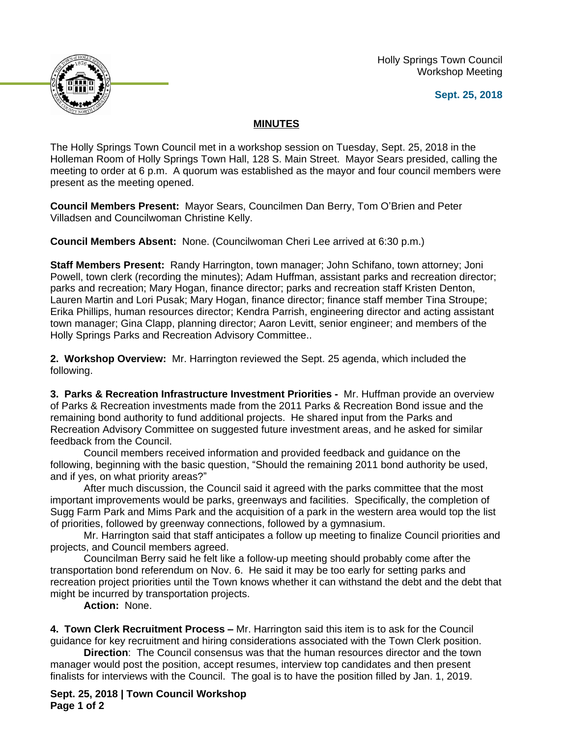Holly Springs Town Council Workshop Meeting





## **MINUTES**

The Holly Springs Town Council met in a workshop session on Tuesday, Sept. 25, 2018 in the Holleman Room of Holly Springs Town Hall, 128 S. Main Street. Mayor Sears presided, calling the meeting to order at 6 p.m. A quorum was established as the mayor and four council members were present as the meeting opened.

**Council Members Present:** Mayor Sears, Councilmen Dan Berry, Tom O'Brien and Peter Villadsen and Councilwoman Christine Kelly.

**Council Members Absent:** None. (Councilwoman Cheri Lee arrived at 6:30 p.m.)

**Staff Members Present:** Randy Harrington, town manager; John Schifano, town attorney; Joni Powell, town clerk (recording the minutes); Adam Huffman, assistant parks and recreation director; parks and recreation; Mary Hogan, finance director; parks and recreation staff Kristen Denton, Lauren Martin and Lori Pusak; Mary Hogan, finance director; finance staff member Tina Stroupe; Erika Phillips, human resources director; Kendra Parrish, engineering director and acting assistant town manager; Gina Clapp, planning director; Aaron Levitt, senior engineer; and members of the Holly Springs Parks and Recreation Advisory Committee..

**2. Workshop Overview:** Mr. Harrington reviewed the Sept. 25 agenda, which included the following.

**3. Parks & Recreation Infrastructure Investment Priorities -** Mr. Huffman provide an overview of Parks & Recreation investments made from the 2011 Parks & Recreation Bond issue and the remaining bond authority to fund additional projects. He shared input from the Parks and Recreation Advisory Committee on suggested future investment areas, and he asked for similar feedback from the Council.

Council members received information and provided feedback and guidance on the following, beginning with the basic question, "Should the remaining 2011 bond authority be used, and if yes, on what priority areas?"

After much discussion, the Council said it agreed with the parks committee that the most important improvements would be parks, greenways and facilities. Specifically, the completion of Sugg Farm Park and Mims Park and the acquisition of a park in the western area would top the list of priorities, followed by greenway connections, followed by a gymnasium.

Mr. Harrington said that staff anticipates a follow up meeting to finalize Council priorities and projects, and Council members agreed.

Councilman Berry said he felt like a follow-up meeting should probably come after the transportation bond referendum on Nov. 6. He said it may be too early for setting parks and recreation project priorities until the Town knows whether it can withstand the debt and the debt that might be incurred by transportation projects.

**Action:** None.

**4. Town Clerk Recruitment Process –** Mr. Harrington said this item is to ask for the Council guidance for key recruitment and hiring considerations associated with the Town Clerk position.

**Direction**: The Council consensus was that the human resources director and the town manager would post the position, accept resumes, interview top candidates and then present finalists for interviews with the Council. The goal is to have the position filled by Jan. 1, 2019.

**Sept. 25, 2018 | Town Council Workshop Page 1 of 2**